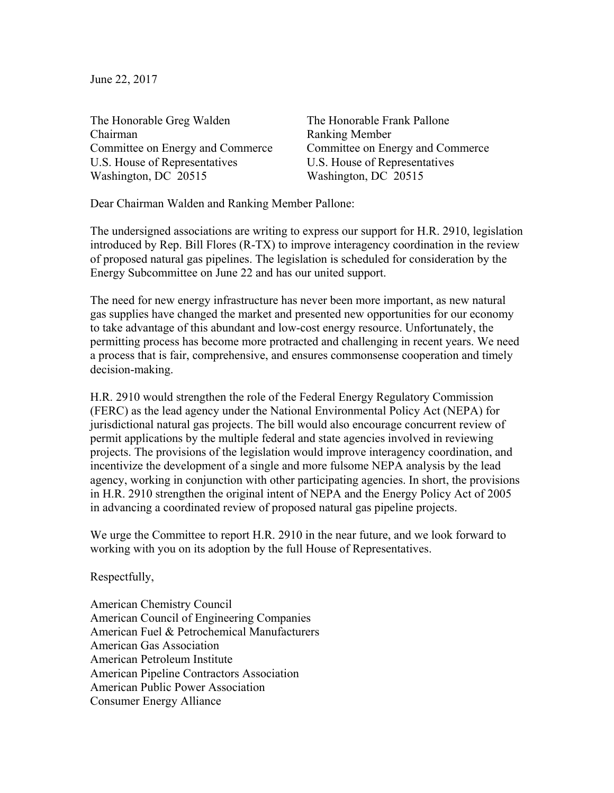June 22, 2017

The Honorable Greg Walden The Honorable Frank Pallone Chairman Ranking Member Committee on Energy and Commerce Committee on Energy and Commerce U.S. House of Representatives U.S. House of Representatives Washington, DC 20515 Washington, DC 20515

Dear Chairman Walden and Ranking Member Pallone:

The undersigned associations are writing to express our support for H.R. 2910, legislation introduced by Rep. Bill Flores (R-TX) to improve interagency coordination in the review of proposed natural gas pipelines. The legislation is scheduled for consideration by the Energy Subcommittee on June 22 and has our united support.

The need for new energy infrastructure has never been more important, as new natural gas supplies have changed the market and presented new opportunities for our economy to take advantage of this abundant and low-cost energy resource. Unfortunately, the permitting process has become more protracted and challenging in recent years. We need a process that is fair, comprehensive, and ensures commonsense cooperation and timely decision-making.

H.R. 2910 would strengthen the role of the Federal Energy Regulatory Commission (FERC) as the lead agency under the National Environmental Policy Act (NEPA) for jurisdictional natural gas projects. The bill would also encourage concurrent review of permit applications by the multiple federal and state agencies involved in reviewing projects. The provisions of the legislation would improve interagency coordination, and incentivize the development of a single and more fulsome NEPA analysis by the lead agency, working in conjunction with other participating agencies. In short, the provisions in H.R. 2910 strengthen the original intent of NEPA and the Energy Policy Act of 2005 in advancing a coordinated review of proposed natural gas pipeline projects.

We urge the Committee to report H.R. 2910 in the near future, and we look forward to working with you on its adoption by the full House of Representatives.

Respectfully,

American Chemistry Council American Council of Engineering Companies American Fuel & Petrochemical Manufacturers American Gas Association American Petroleum Institute American Pipeline Contractors Association American Public Power Association Consumer Energy Alliance